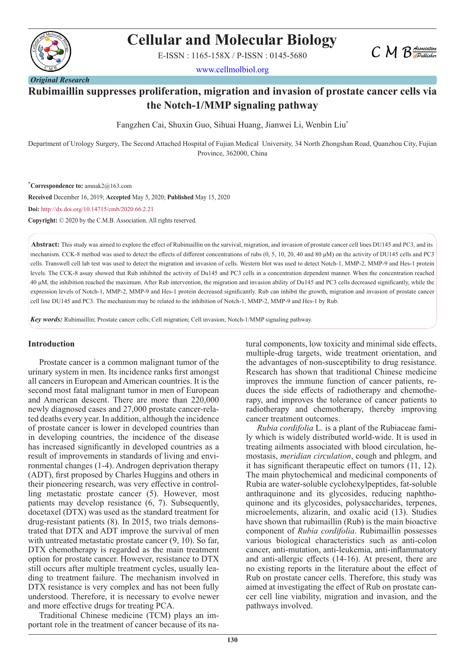

# **Cellular and Molecular Biology**

E-ISSN : 1165-158X / P-ISSN : 0145-5680

www.cellmolbiol.org



# **Rubimaillin suppresses proliferation, migration and invasion of prostate cancer cells via the Notch-1/MMP signaling pathway**

Fangzhen Cai, Shuxin Guo, Sihuai Huang, Jianwei Li, Wenbin Liu\*

Department of Urology Surgery, The Second Attached Hospital of Fujian Medical University, 34 North Zhongshan Road, Quanzhou City, Fujian Province, 362000, China

\* **Correspondence to:** amnak2@163.com

**Received** December 16, 2019; **Accepted** May 5, 2020; **Published** May 15, 2020 **Doi:** http://dx.doi.org/10.14715/cmb/2020.66.2.21

**Copyright:** © 2020 by the C.M.B. Association. All rights reserved.

**Abstract:** This study was aimed to explore the effect of Rubimaillin on the survival, migration, and invasion of prostate cancer cell lines DU145 and PC3, and its mechanism. CCK-8 method was used to detect the effects of different concentrations of rubs (0, 5, 10, 20, 40 and 80 μM) on the activity of DU145 cells and PC3 cells. Transwell cell lab test was used to detect the migration and invasion of cells. Western blot was used to detect Notch-1, MMP-2, MMP-9 and Hes-1 protein levels. The CCK-8 assay showed that Rub inhibited the activity of Du145 and PC3 cells in a concentration dependent manner. When the concentration reached 40 μM, the inhibition reached the maximum. After Rub intervention, the migration and invasion ability of Du145 and PC3 cells decreased significantly, while the expression levels of Notch-1, MMP-2, MMP-9 and Hes-1 protein decreased significantly. Rub can inhibit the growth, migration and invasion of prostate cancer cell line DU145 and PC3. The mechanism may be related to the inhibition of Notch-1, MMP-2, MMP-9 and Hes-1 by Rub.

*Key words:* Rubimaillin; Prostate cancer cells; Cell migration; Cell invasion; Notch-1/MMP signaling pathway.

#### **Introduction**

Prostate cancer is a common malignant tumor of the urinary system in men. Its incidence ranks first amongst all cancers in European and American countries. It is the second most fatal malignant tumor in men of European and American descent. There are more than 220,000 newly diagnosed cases and 27,000 prostate cancer-related deaths every year. In addition, although the incidence of prostate cancer is lower in developed countries than in developing countries, the incidence of the disease has increased significantly in developed countries as a result of improvements in standards of living and environmental changes (1-4). Androgen deprivation therapy (ADT), first proposed by Charles Huggins and others in their pioneering research, was very effective in controlling metastatic prostate cancer (5). However, most patients may develop resistance (6, 7). Subsequently, docetaxel (DTX) was used as the standard treatment for drug-resistant patients (8). In 2015, two trials demonstrated that DTX and ADT improve the survival of men with untreated metastatic prostate cancer (9, 10). So far, DTX chemotherapy is regarded as the main treatment option for prostate cancer. However, resistance to DTX still occurs after multiple treatment cycles, usually leading to treatment failure. The mechanism involved in DTX resistance is very complex and has not been fully understood. Therefore, it is necessary to evolve newer and more effective drugs for treating PCA.

Traditional Chinese medicine (TCM) plays an important role in the treatment of cancer because of its natural components, low toxicity and minimal side effects, multiple-drug targets, wide treatment orientation, and the advantages of non-susceptibility to drug resistance. Research has shown that traditional Chinese medicine improves the immune function of cancer patients, reduces the side effects of radiotherapy and chemotherapy, and improves the tolerance of cancer patients to radiotherapy and chemotherapy, thereby improving cancer treatment outcomes.

*Rubia cordifolia* L. is a plant of the Rubiaceae family which is widely distributed world-wide. It is used in treating ailments associated with blood circulation, hemostasis, *meridian circulation*, cough and phlegm, and it has significant therapeutic effect on tumors (11, 12). The main phytochemical and medicinal components of Rubia are water-soluble cyclohexylpeptides, fat-soluble anthraquinone and its glycosides, reducing naphthoquinone and its glycosides, polysaccharides, terpenes, microelements, alizarin, and oxalic acid (13). Studies have shown that rubimaillin (Rub) is the main bioactive component of *Rubia cordifolia*. Rubimaillin possesses various biological characteristics such as anti-colon cancer, anti-mutation, anti-leukemia, anti-inflammatory and anti-allergic effects (14-16). At present, there are no existing reports in the literature about the effect of Rub on prostate cancer cells. Therefore, this study was aimed at investigating the effect of Rub on prostate cancer cell line viability, migration and invasion, and the pathways involved.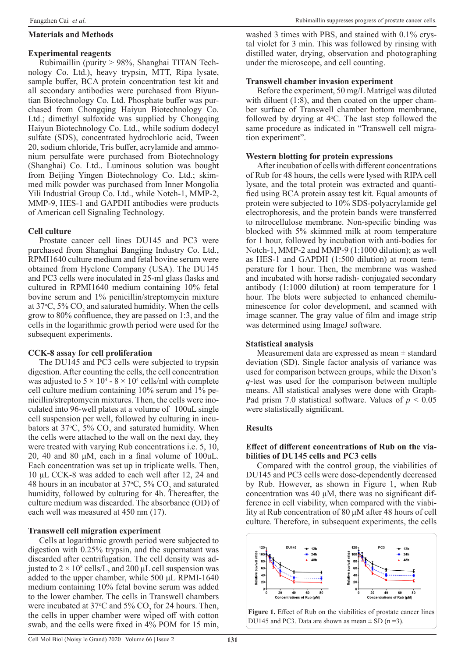# **Materials and Methods**

# **Experimental reagents**

Rubimaillin (purity > 98%, Shanghai TITAN Technology Co. Ltd.), heavy trypsin, MTT, Ripa lysate, sample buffer, BCA protein concentration test kit and all secondary antibodies were purchased from Biyuntian Biotechnology Co. Ltd. Phosphate buffer was purchased from Chongqing Haiyun Biotechnology Co. Ltd.; dimethyl sulfoxide was supplied by Chongqing Haiyun Biotechnology Co. Ltd., while sodium dodecyl sulfate (SDS), concentrated hydrochloric acid, Tween 20, sodium chloride, Tris buffer, acrylamide and ammonium persulfate were purchased from Biotechnology (Shanghai) Co. Ltd.. Luminous solution was bought from Beijing Yingen Biotechnology Co. Ltd.; skimmed milk powder was purchased from Inner Mongolia Yili Industrial Group Co. Ltd., while Notch-1, MMP-2, MMP-9, HES-1 and GAPDH antibodies were products of American cell Signaling Technology.

# **Cell culture**

Prostate cancer cell lines DU145 and PC3 were purchased from Shanghai Bangjing Industry Co. Ltd., RPMI1640 culture medium and fetal bovine serum were obtained from Hyclone Company (USA). The DU145 and PC3 cells were inoculated in 25-ml glass flasks and cultured in RPMI1640 medium containing 10% fetal bovine serum and 1% penicillin/streptomycin mixture at 37 $\degree$ C, 5% CO<sub>2</sub> and saturated humidity. When the cells grow to 80% confluence, they are passed on 1:3, and the cells in the logarithmic growth period were used for the subsequent experiments.

# **CCK-8 assay for cell proliferation**

The DU145 and PC3 cells were subjected to trypsin digestion. After counting the cells, the cell concentration was adjusted to  $5 \times 10^4$  -  $8 \times 10^4$  cells/ml with complete cell culture medium containing  $10\%$  serum and  $1\%$  penicillin/streptomycin mixtures. Then, the cells were inoculated into 96-well plates at a volume of 100uL single cell suspension per well, followed by culturing in incubators at 37°C, 5%  $CO_2$  and saturated humidity. When the cells were attached to the wall on the next day, they were treated with varying Rub concentrations i.e. 5, 10, 20, 40 and 80 μM, each in a final volume of 100uL. Each concentration was set up in triplicate wells. Then, 10 μL CCK-8 was added to each well after 12, 24 and 48 hours in an incubator at  $37^{\circ}$ C,  $5\%$  CO<sub>2</sub> and saturated humidity, followed by culturing for 4h. Thereafter, the culture medium was discarded. The absorbance (OD) of each well was measured at 450 nm (17).

# **Transwell cell migration experiment**

Cells at logarithmic growth period were subjected to digestion with 0.25% trypsin, and the supernatant was discarded after centrifugation. The cell density was adjusted to  $2 \times 10^8$  cells/L, and 200 µL cell suspension was added to the upper chamber, while 500 μL RPMI-1640 medium containing 10% fetal bovine serum was added to the lower chamber. The cells in Transwell chambers were incubated at 37 $\degree$ C and 5% CO<sub>2</sub> for 24 hours. Then, the cells in upper chamber were wiped off with cotton swab, and the cells were fixed in 4% POM for 15 min,

washed 3 times with PBS, and stained with 0.1% crystal violet for 3 min. This was followed by rinsing with distilled water, drying, observation and photographing under the microscope, and cell counting.

# **Transwell chamber invasion experiment**

Before the experiment, 50 mg/L Matrigel was diluted with diluent (1:8), and then coated on the upper chamber surface of Transwell chamber bottom membrane, followed by drying at  $4^{\circ}$ C. The last step followed the same procedure as indicated in "Transwell cell migration experiment".

# **Western blotting for protein expressions**

After incubation of cells with different concentrations of Rub for 48 hours, the cells were lysed with RIPA cell lysate, and the total protein was extracted and quantified using BCA protein assay test kit. Equal amounts of protein were subjected to 10% SDS-polyacrylamide gel electrophoresis, and the protein bands were transferred to nitrocellulose membrane. Non-specific binding was blocked with 5% skimmed milk at room temperature for 1 hour, followed by incubation with anti-bodies for Notch-1, MMP-2 and MMP-9 (1:1000 dilution); as well as HES-1 and GAPDH (1:500 dilution) at room temperature for 1 hour. Then, the membrane was washed and incubated with horse radish- conjugated secondary antibody (1:1000 dilution) at room temperature for 1 hour. The blots were subjected to enhanced chemiluminescence for color development, and scanned with image scanner. The gray value of film and image strip was determined using ImageJ software.

# **Statistical analysis**

Measurement data are expressed as mean ± standard deviation (SD). Single factor analysis of variance was used for comparison between groups, while the Dixon's *q*-test was used for the comparison between multiple means. All statistical analyses were done with Graph-Pad prism 7.0 statistical software. Values of  $p < 0.05$ were statistically significant.

# **Results**

#### **Effect of different concentrations of Rub on the viabilities of DU145 cells and PC3 cells**

Compared with the control group, the viabilities of DU145 and PC3 cells were dose-dependently decreased by Rub. However, as shown in Figure 1, when Rub concentration was 40  $\mu$ M, there was no significant difference in cell viability, when compared with the viability at Rub concentration of 80 μM after 48 hours of cell culture. Therefore, in subsequent experiments, the cells

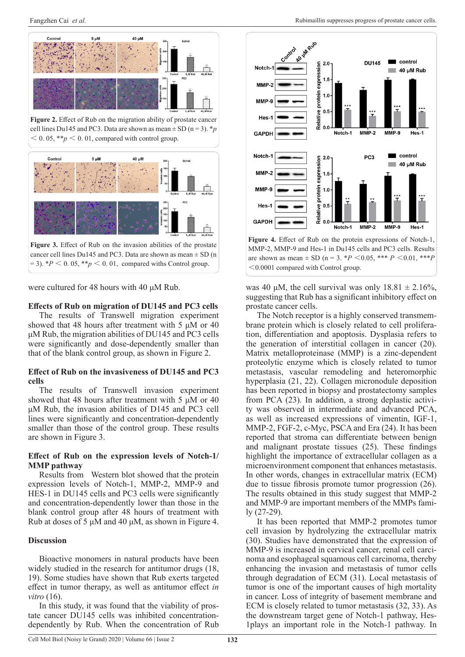



were cultured for 48 hours with 40 μM Rub.

#### **Effects of Rub on migration of DU145 and PC3 cells**

The results of Transwell migration experiment showed that 48 hours after treatment with 5  $\mu$ M or 40 μM Rub, the migration abilities of DU145 and PC3 cells were significantly and dose-dependently smaller than that of the blank control group, as shown in Figure 2.

#### **Effect of Rub on the invasiveness of DU145 and PC3 cells**

The results of Transwell invasion experiment showed that 48 hours after treatment with 5 μM or 40 μM Rub, the invasion abilities of D145 and PC3 cell lines were significantly and concentration-dependently smaller than those of the control group. These results are shown in Figure 3.

#### **Effect of Rub on the expression levels of Notch-1/ MMP pathway**

Results from Western blot showed that the protein expression levels of Notch-1, MMP-2, MMP-9 and HES-1 in DU145 cells and PC3 cells were significantly and concentration-dependently lower than those in the blank control group after 48 hours of treatment with Rub at doses of 5 μM and 40 μM, as shown in Figure 4.

#### **Discussion**

Bioactive monomers in natural products have been widely studied in the research for antitumor drugs (18, 19). Some studies have shown that Rub exerts targeted effect in tumor therapy, as well as antitumor effect *in vitro* (16).

In this study, it was found that the viability of prostate cancer DU145 cells was inhibited concentrationdependently by Rub. When the concentration of Rub



MMP-2, MMP-9 and Hes-1 in Du145 cells and PC3 cells. Results are shown as mean  $\pm$  SD (n = 3. \**P* < 0.05, \*\*\* *P* < 0.01, \*\*\* *P* <0.0001 compared with Control group.

was 40 μM, the cell survival was only  $18.81 \pm 2.16\%$ , suggesting that Rub has a significant inhibitory effect on prostate cancer cells.

The Notch receptor is a highly conserved transmembrane protein which is closely related to cell proliferation, differentiation and apoptosis. Dysplasia refers to the generation of interstitial collagen in cancer (20). Matrix metalloproteinase (MMP) is a zinc-dependent proteolytic enzyme which is closely related to tumor metastasis, vascular remodeling and heteromorphic hyperplasia (21, 22). Collagen micronodule deposition has been reported in biopsy and prostatectomy samples from PCA (23). In addition, a strong deplastic activity was observed in intermediate and advanced PCA, as well as increased expressions of vimentin, IGF-1, MMP-2, FGF-2, c-Myc, PSCA and Era (24). It has been reported that stroma can differentiate between benign and malignant prostate tissues (25). These findings highlight the importance of extracellular collagen as a microenvironment component that enhances metastasis. In other words, changes in extracellular matrix (ECM) due to tissue fibrosis promote tumor progression (26). The results obtained in this study suggest that MMP-2 and MMP-9 are important members of the MMPs family (27-29).

It has been reported that MMP-2 promotes tumor cell invasion by hydrolyzing the extracellular matrix (30). Studies have demonstrated that the expression of MMP-9 is increased in cervical cancer, renal cell carcinoma and esophageal squamous cell carcinoma, thereby enhancing the invasion and metastasis of tumor cells through degradation of ECM (31). Local metastasis of tumor is one of the important causes of high mortality in cancer. Loss of integrity of basement membrane and ECM is closely related to tumor metastasis (32, 33). As the downstream target gene of Notch-1 pathway, Hes-1plays an important role in the Notch-1 pathway. In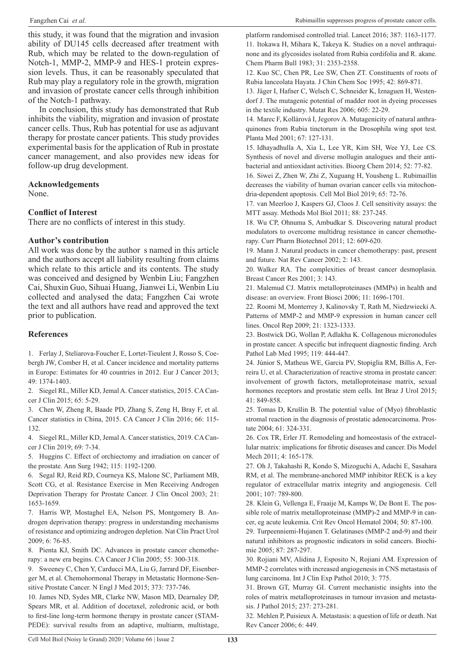this study, it was found that the migration and invasion ability of DU145 cells decreased after treatment with Rub, which may be related to the down-regulation of Notch-1, MMP-2, MMP-9 and HES-1 protein expression levels. Thus, it can be reasonably speculated that Rub may play a regulatory role in the growth, migration and invasion of prostate cancer cells through inhibition of the Notch-1 pathway.

In conclusion, this study has demonstrated that Rub inhibits the viability, migration and invasion of prostate cancer cells. Thus, Rub has potential for use as adjuvant therapy for prostate cancer patients. This study provides experimental basis for the application of Rub in prostate cancer management, and also provides new ideas for follow-up drug development.

#### **Acknowledgements**

None.

# **Conflict of Interest**

There are no conflicts of interest in this study.

#### **Author's contribution**

All work was done by the author s named in this article and the authors accept all liability resulting from claims which relate to this article and its contents. The study was conceived and designed by Wenbin Liu; Fangzhen Cai, Shuxin Guo, Sihuai Huang, Jianwei Li, Wenbin Liu collected and analysed the data; Fangzhen Cai wrote the text and all authors have read and approved the text prior to publication.

# **References**

1. Ferlay J, Steliarova-Foucher E, Lortet-Tieulent J, Rosso S, Coebergh JW, Comber H, et al. Cancer incidence and mortality patterns in Europe: Estimates for 40 countries in 2012. Eur J Cancer 2013; 49: 1374-1403.

2. Siegel RL, Miller KD, Jemal A. Cancer statistics, 2015. CA Cancer J Clin 2015; 65: 5-29.

3. Chen W, Zheng R, Baade PD, Zhang S, Zeng H, Bray F, et al. Cancer statistics in China, 2015. CA Cancer J Clin 2016; 66: 115- 132.

4. Siegel RL, Miller KD, Jemal A. Cancer statistics, 2019. CA Cancer J Clin 2019; 69: 7-34.

5. Huggins C. Effect of orchiectomy and irradiation on cancer of the prostate. Ann Surg 1942; 115: 1192-1200.

6. Segal RJ, Reid RD, Courneya KS, Malone SC, Parliament MB, Scott CG, et al. Resistance Exercise in Men Receiving Androgen Deprivation Therapy for Prostate Cancer. J Clin Oncol 2003; 21: 1653-1659.

7. Harris WP, Mostaghel EA, Nelson PS, Montgomery B. Androgen deprivation therapy: progress in understanding mechanisms of resistance and optimizing androgen depletion. Nat Clin Pract Urol 2009; 6: 76-85.

8. Pienta KJ, Smith DC. Advances in prostate cancer chemotherapy: a new era begins. CA Cancer J Clin 2005; 55: 300-318.

9. Sweeney C, Chen Y, Carducci MA, Liu G, Jarrard DF, Eisenberger M, et al. Chemohormonal Therapy in Metastatic Hormone-Sensitive Prostate Cancer. N Engl J Med 2015; 373: 737-746.

10. James ND, Sydes MR, Clarke NW, Mason MD, Dearnaley DP, Spears MR, et al. Addition of docetaxel, zoledronic acid, or both to first-line long-term hormone therapy in prostate cancer (STAM-PEDE): survival results from an adaptive, multiarm, multistage, platform randomised controlled trial. Lancet 2016; 387: 1163-1177. 11. Itokawa H, Mihara K, Takeya K. Studies on a novel anthraquinone and its glycosides isolated from Rubia cordifolia and R. akane. Chem Pharm Bull 1983; 31: 2353-2358.

12. Kuo SC, Chen PR, Lee SW, Chen ZT. Constituents of roots of Rubia lanceolata Hayata. J Chin Chem Soc 1995; 42: 869-871.

13. Jäger I, Hafner C, Welsch C, Schneider K, Iznaguen H, Westendorf J. The mutagenic potential of madder root in dyeing processes in the textile industry. Mutat Res 2006; 605: 22-29.

14. Marec F, Kollárová I, Jegorov A. Mutagenicity of natural anthraquinones from Rubia tinctorum in the Drosophila wing spot test. Planta Med 2001; 67: 127-131.

15. Idhayadhulla A, Xia L, Lee YR, Kim SH, Wee YJ, Lee CS. Synthesis of novel and diverse mollugin analogues and their antibacterial and antioxidant activities. Bioorg Chem 2014; 52: 77-82.

16. Siwei Z, Zhen W, Zhi Z, Xuguang H, Yousheng L. Rubimaillin decreases the viability of human ovarian cancer cells via mitochondria-dependent apoptosis. Cell Mol Biol 2019; 65: 72-76.

17. van Meerloo J, Kaspers GJ, Cloos J. Cell sensitivity assays: the MTT assay. Methods Mol Biol 2011; 88: 237-245.

18. Wu CP, Ohnuma S, Ambudkar S. Discovering natural product modulators to overcome multidrug resistance in cancer chemotherapy. Curr Pharm Biotechnol 2011; 12: 609-620.

19. Mann J. Natural products in cancer chemotherapy: past, present and future. Nat Rev Cancer 2002; 2: 143.

20. Walker RA. The complexities of breast cancer desmoplasia. Breast Cancer Res 2001; 3: 143.

21. Malemud CJ. Matrix metalloproteinases (MMPs) in health and disease: an overview. Front Biosci 2006; 11: 1696-1701.

22. Roomi M, Monterrey J, Kalinovsky T, Rath M, Niedzwiecki A. Patterns of MMP-2 and MMP-9 expression in human cancer cell lines. Oncol Rep 2009; 21: 1323-1333.

23. Bostwick DG, Wollan P, Adlakha K. Collagenous micronodules in prostate cancer. A specific but infrequent diagnostic finding. Arch Pathol Lab Med 1995; 119: 444-447.

24. Júnior S, Matheus WE, Garcia PV, Stopiglia RM, Billis A, Ferreira U, et al. Characterization of reactive stroma in prostate cancer: involvement of growth factors, metalloproteinase matrix, sexual hormones receptors and prostatic stem cells. Int Braz J Urol 2015; 41: 849-858.

25. Tomas D, Krušlin B. The potential value of (Myo) fibroblastic stromal reaction in the diagnosis of prostatic adenocarcinoma. Prostate 2004; 61: 324-331.

26. Cox TR, Erler JT. Remodeling and homeostasis of the extracellular matrix: implications for fibrotic diseases and cancer. Dis Model Mech 2011; 4: 165-178.

27. Oh J, Takahashi R, Kondo S, Mizoguchi A, Adachi E, Sasahara RM, et al. The membrane-anchored MMP inhibitor RECK is a key regulator of extracellular matrix integrity and angiogenesis. Cell 2001; 107: 789-800.

28. Klein G, Vellenga E, Fraaije M, Kamps W, De Bont E. The possible role of matrix metalloproteinase (MMP)-2 and MMP-9 in cancer, eg acute leukemia. Crit Rev Oncol Hematol 2004; 50: 87-100.

29. Turpeenniemi-Hujanen T. Gelatinases (MMP-2 and-9) and their natural inhibitors as prognostic indicators in solid cancers. Biochimie 2005; 87: 287-297.

30. Rojiani MV, Alidina J, Esposito N, Rojiani AM. Expression of MMP-2 correlates with increased angiogenesis in CNS metastasis of lung carcinoma. Int J Clin Exp Pathol 2010; 3: 775.

31. Brown GT, Murray GI. Current mechanistic insights into the roles of matrix metalloproteinases in tumour invasion and metastasis. J Pathol 2015; 237: 273-281.

32. Mehlen P, Puisieux A. Metastasis: a question of life or death. Nat Rev Cancer 2006; 6: 449.